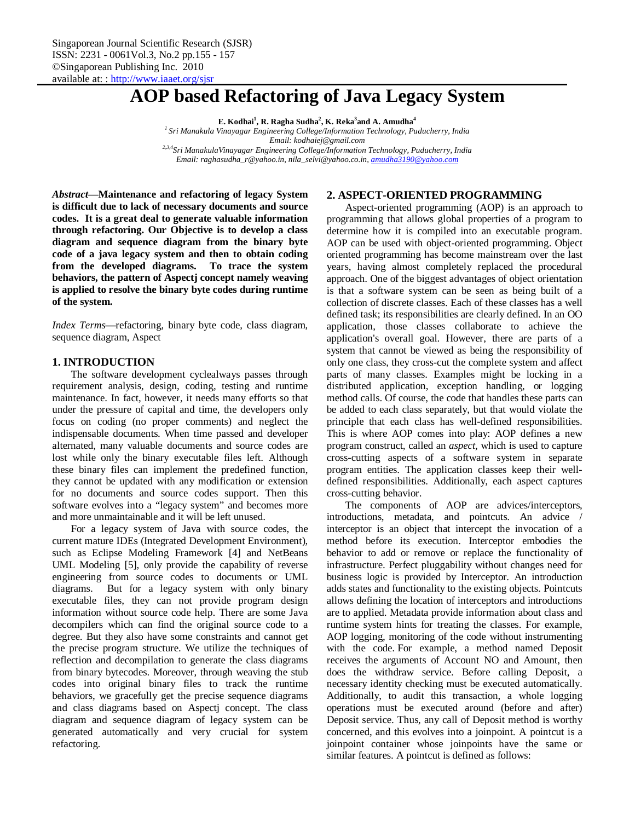# **AOP based Refactoring of Java Legacy System**

**E. Kodhai<sup>1</sup> , R. Ragha Sudha<sup>2</sup> , K. Reka<sup>3</sup> and A. Amudha<sup>4</sup>**

*<sup>1</sup>Sri Manakula Vinayagar Engineering College/Information Technology, Puducherry, India Email: kodhaiej@gmail.com 2,3,4Sri ManakulaVinayagar Engineering College/Information Technology, Puducherry, India*

*Email: raghasudha\_r@yahoo.in, nila\_selvi@yahoo.co.in, amudha3190@yahoo.com*

*Abstract***—Maintenance and refactoring of legacy System is difficult due to lack of necessary documents and source codes. It is a great deal to generate valuable information through refactoring. Our Objective is to develop a class diagram and sequence diagram from the binary byte code of a java legacy system and then to obtain coding from the developed diagrams. To trace the system behaviors, the pattern of Aspectj concept namely weaving is applied to resolve the binary byte codes during runtime of the system.**

*Index Terms***—**refactoring, binary byte code, class diagram, sequence diagram, Aspect

# **1. INTRODUCTION**

The software development cyclealways passes through requirement analysis, design, coding, testing and runtime maintenance. In fact, however, it needs many efforts so that under the pressure of capital and time, the developers only focus on coding (no proper comments) and neglect the indispensable documents. When time passed and developer alternated, many valuable documents and source codes are lost while only the binary executable files left. Although these binary files can implement the predefined function, they cannot be updated with any modification or extension for no documents and source codes support. Then this software evolves into a "legacy system" and becomes more and more unmaintainable and it will be left unused.

For a legacy system of Java with source codes, the current mature IDEs (Integrated Development Environment), such as Eclipse Modeling Framework [4] and NetBeans UML Modeling [5], only provide the capability of reverse engineering from source codes to documents or UML diagrams. But for a legacy system with only binary executable files, they can not provide program design information without source code help. There are some Java decompilers which can find the original source code to a degree. But they also have some constraints and cannot get the precise program structure. We utilize the techniques of reflection and decompilation to generate the class diagrams from binary bytecodes. Moreover, through weaving the stub codes into original binary files to track the runtime behaviors, we gracefully get the precise sequence diagrams and class diagrams based on Aspectj concept. The class diagram and sequence diagram of legacy system can be generated automatically and very crucial for system refactoring.

## **2. ASPECT-ORIENTED PROGRAMMING**

Aspect-oriented programming (AOP) is an approach to programming that allows global properties of a program to determine how it is compiled into an executable program. AOP can be used with object-oriented programming. Object oriented programming has become mainstream over the last years, having almost completely replaced the procedural approach. One of the biggest advantages of object orientation is that a software system can be seen as being built of a collection of discrete classes. Each of these classes has a well defined task; its responsibilities are clearly defined. In an OO application, those classes collaborate to achieve the application's overall goal. However, there are parts of a system that cannot be viewed as being the responsibility of only one class, they cross-cut the complete system and affect parts of many classes. Examples might be locking in a distributed application, exception handling, or logging method calls. Of course, the code that handles these parts can be added to each class separately, but that would violate the principle that each class has well-defined responsibilities. This is where AOP comes into play: AOP defines a new program construct, called an *aspect*, which is used to capture cross-cutting aspects of a software system in separate program entities. The application classes keep their welldefined responsibilities. Additionally, each aspect captures cross-cutting behavior.

The components of AOP are advices/interceptors, introductions, metadata, and pointcuts. An advice / interceptor is an object that intercept the invocation of a method before its execution. Interceptor embodies the behavior to add or remove or replace the functionality of infrastructure. Perfect pluggability without changes need for business logic is provided by Interceptor. An introduction adds states and functionality to the existing objects. Pointcuts allows defining the location of interceptors and introductions are to applied. Metadata provide information about class and runtime system hints for treating the classes. For example, AOP logging, monitoring of the code without instrumenting with the code. For example, a method named Deposit receives the arguments of Account NO and Amount, then does the withdraw service. Before calling Deposit, a necessary identity checking must be executed automatically. Additionally, to audit this transaction, a whole logging operations must be executed around (before and after) Deposit service. Thus, any call of Deposit method is worthy concerned, and this evolves into a joinpoint. A pointcut is a joinpoint container whose joinpoints have the same or similar features. A pointcut is defined as follows: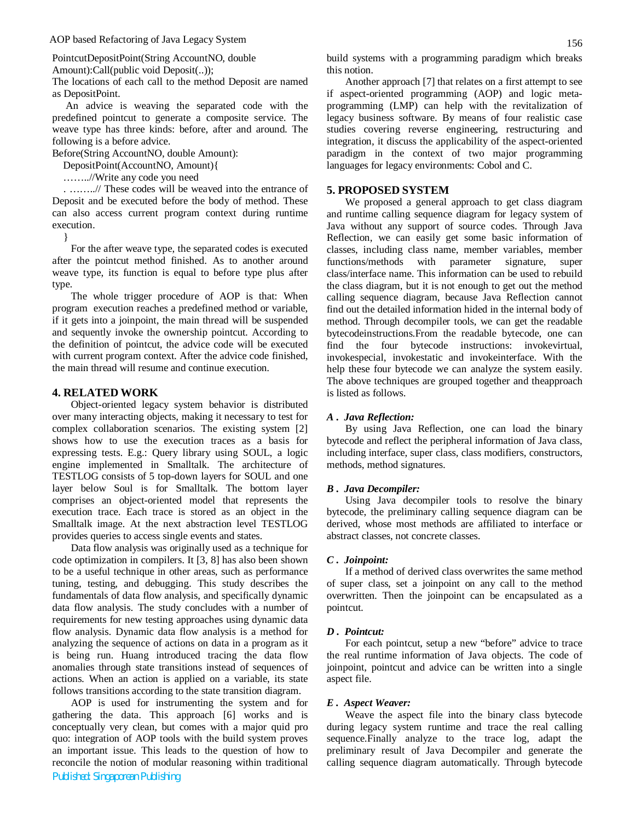PointcutDepositPoint(String AccountNO, double

Amount):Call(public void Deposit(..));

The locations of each call to the method Deposit are named as DepositPoint.

An advice is weaving the separated code with the predefined pointcut to generate a composite service. The weave type has three kinds: before, after and around. The following is a before advice.

Before(String AccountNO, double Amount):

DepositPoint(AccountNO, Amount){

……..//Write any code you need

. ……..// These codes will be weaved into the entrance of Deposit and be executed before the body of method. These can also access current program context during runtime execution.

}

For the after weave type, the separated codes is executed after the pointcut method finished. As to another around weave type, its function is equal to before type plus after type.

The whole trigger procedure of AOP is that: When program execution reaches a predefined method or variable, if it gets into a joinpoint, the main thread will be suspended and sequently invoke the ownership pointcut. According to the definition of pointcut, the advice code will be executed with current program context. After the advice code finished, the main thread will resume and continue execution.

# **4. RELATED WORK**

Object-oriented legacy system behavior is distributed over many interacting objects, making it necessary to test for complex collaboration scenarios. The existing system [2] shows how to use the execution traces as a basis for expressing tests. E.g.: Query library using SOUL, a logic engine implemented in Smalltalk. The architecture of TESTLOG consists of 5 top-down layers for SOUL and one layer below Soul is for Smalltalk. The bottom layer comprises an object-oriented model that represents the execution trace. Each trace is stored as an object in the Smalltalk image. At the next abstraction level TESTLOG provides queries to access single events and states.

Data flow analysis was originally used as a technique for code optimization in compilers. It [3, 8] has also been shown to be a useful technique in other areas, such as performance tuning, testing, and debugging. This study describes the fundamentals of data flow analysis, and specifically dynamic data flow analysis. The study concludes with a number of requirements for new testing approaches using dynamic data flow analysis. Dynamic data flow analysis is a method for analyzing the sequence of actions on data in a program as it is being run. Huang introduced tracing the data flow anomalies through state transitions instead of sequences of actions. When an action is applied on a variable, its state follows transitions according to the state transition diagram.

AOP is used for instrumenting the system and for gathering the data. This approach [6] works and is conceptually very clean, but comes with a major quid pro quo: integration of AOP tools with the build system proves an important issue. This leads to the question of how to reconcile the notion of modular reasoning within traditional

*Published: Singaporean Publishing*

build systems with a programming paradigm which breaks this notion.

Another approach [7] that relates on a first attempt to see if aspect-oriented programming (AOP) and logic metaprogramming (LMP) can help with the revitalization of legacy business software. By means of four realistic case studies covering reverse engineering, restructuring and integration, it discuss the applicability of the aspect-oriented paradigm in the context of two major programming languages for legacy environments: Cobol and C.

## **5. PROPOSED SYSTEM**

We proposed a general approach to get class diagram and runtime calling sequence diagram for legacy system of Java without any support of source codes. Through Java Reflection, we can easily get some basic information of classes, including class name, member variables, member functions/methods with parameter signature, super class/interface name. This information can be used to rebuild the class diagram, but it is not enough to get out the method calling sequence diagram, because Java Reflection cannot find out the detailed information hided in the internal body of method. Through decompiler tools, we can get the readable bytecodeinstructions.From the readable bytecode, one can find the four bytecode instructions: invokevirtual, invokespecial, invokestatic and invokeinterface. With the help these four bytecode we can analyze the system easily. The above techniques are grouped together and theapproach is listed as follows.

#### *A . Java Reflection:*

By using Java Reflection, one can load the binary bytecode and reflect the peripheral information of Java class, including interface, super class, class modifiers, constructors, methods, method signatures.

#### *B . Java Decompiler:*

Using Java decompiler tools to resolve the binary bytecode, the preliminary calling sequence diagram can be derived, whose most methods are affiliated to interface or abstract classes, not concrete classes.

#### *C . Joinpoint:*

If a method of derived class overwrites the same method of super class, set a joinpoint on any call to the method overwritten. Then the joinpoint can be encapsulated as a pointcut.

#### *D . Pointcut:*

For each pointcut, setup a new "before" advice to trace the real runtime information of Java objects. The code of joinpoint, pointcut and advice can be written into a single aspect file.

#### *E . Aspect Weaver:*

Weave the aspect file into the binary class bytecode during legacy system runtime and trace the real calling sequence.Finally analyze to the trace log, adapt the preliminary result of Java Decompiler and generate the calling sequence diagram automatically. Through bytecode